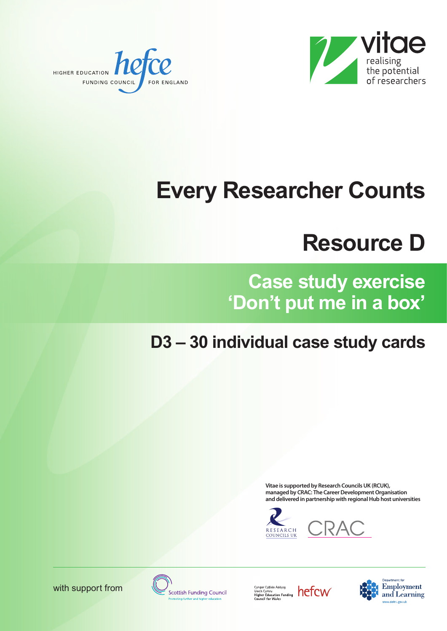



# **Every Researcher Counts**

## **Resource D**

**Case study exercise 'Don't put me in a box'**

### **D3 – 30 individual case study cards**

**Vitae is supported by Research CouncilsUK (RCUK), managed** by CRAC: The Career Development Organisation **and delivered in partnership with regionalHub host universities**





with support from

**Scottish Funding Council** 

Cyngor Cyllido Addysg<br>Uwch Cymru<br>Higher Education Funding<br>Council for Wales



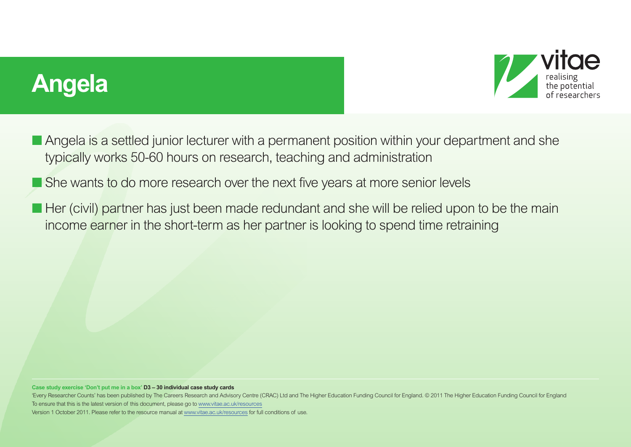## **Angela**



- Angela is a settled junior lecturer with a permanent position within your department and she typically works 50-60 hours on research, teaching and administration
- She wants to do more research over the next five years at more senior levels
- Her (civil) partner has just been made redundant and she will be relied upon to be the main income earner in the short-term as her partner is looking to spend time retraining

#### **Case study exercise 'Don't put me in a box' D3 – 30 individual case study cards**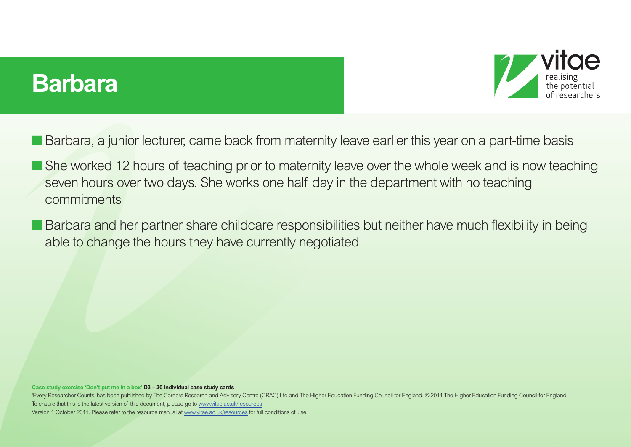### **Barbara**



- Barbara, a junior lecturer, came back from maternity leave earlier this year on a part-time basis
- She worked 12 hours of teaching prior to maternity leave over the whole week and is now teaching seven hours over two days. She works one half day in the department with no teaching commitments
- Barbara and her partner share childcare responsibilities but neither have much flexibility in being able to change the hours they have currently negotiated

**Case study exercise 'Don't put me in a box' D3 – 30 individual case study cards**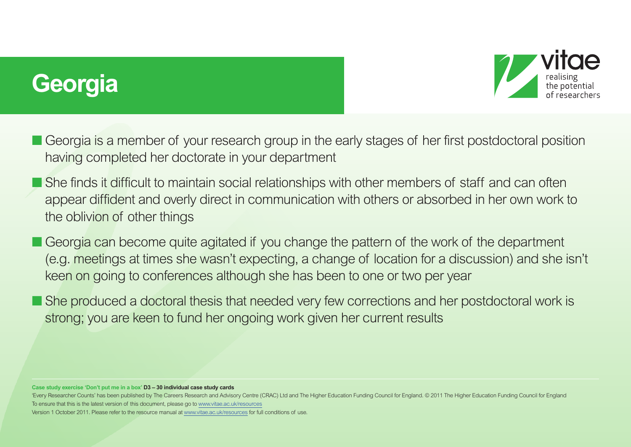# **Georgia**



- Georgia is a member of your research group in the early stages of her first postdoctoral position having completed her doctorate in your department
- She finds it difficult to maintain social relationships with other members of staff and can often appear diffident and overly direct in communication with others or absorbed in her own work to the oblivion of other things
- Georgia can become quite agitated if you change the pattern of the work of the department (e.g. meetings at times she wasn't expecting, a change of location for a discussion) and she isn't keen on going to conferences although she has been to one or two per year
- She produced a doctoral thesis that needed very few corrections and her postdoctoral work is strong; you are keen to fund her ongoing work given her current results

#### **Case study exercise 'Don't put me in a box' D3 – 30 individual case study cards**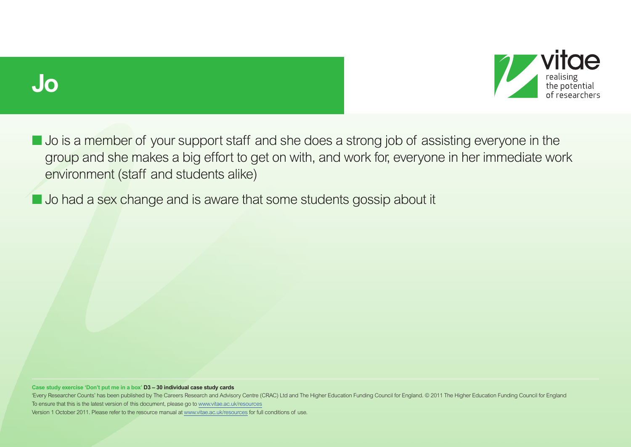



■ Jo is a member of your support staff and she does a strong job of assisting everyone in the group and she makes a big effort to get on with, and work for, everyone in her immediate work environment (staff and students alike)

■ Jo had a sex change and is aware that some students gossip about it

**Case study exercise 'Don't put me in a box' D3 – 30 individual case study cards**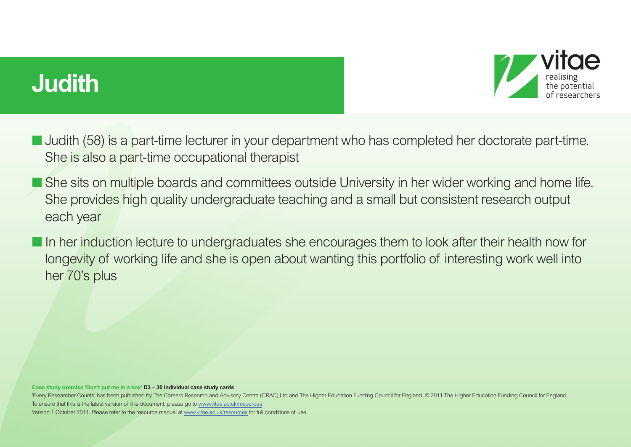# **Judith**



- **■** Judith (58) is a part-time lecturer in your department who has completed her doctorate part-time. She is also a part-time occupational therapist
- She sits on multiple boards and committees outside University in her wider working and home life. She provides high quality undergraduate teaching and a small but consistent research output each year
- In her induction lecture to undergraduates she encourages them to look after their health now for longevity of working life and she is open about wanting this portfolio of interesting work well into her 70's plus

#### **Case study exercise 'Don't put me in a box' D3 – 30 individual case study cards**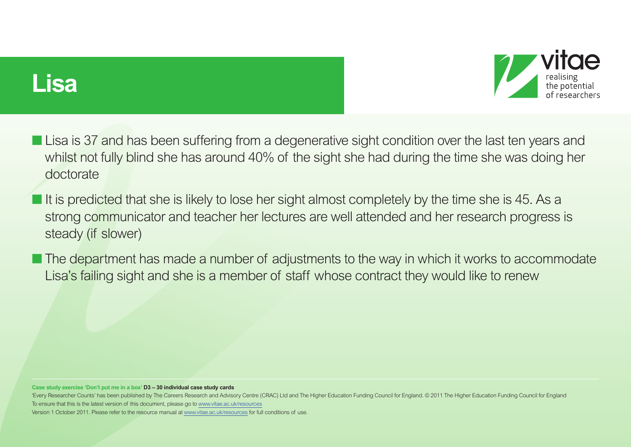

### **Lisa**

- **■** Lisa is 37 and has been suffering from a degenerative sight condition over the last ten years and whilst not fully blind she has around 40% of the sight she had during the time she was doing her doctorate
- **■** It is predicted that she is likely to lose her sight almost completely by the time she is 45. As a strong communicator and teacher her lectures are well attended and her research progress is steady (if slower)
- The department has made a number of adjustments to the way in which it works to accommodate Lisa's failing sight and she is a member of staff whose contract they would like to renew

#### **Case study exercise 'Don't put me in a box' D3 – 30 individual case study cards**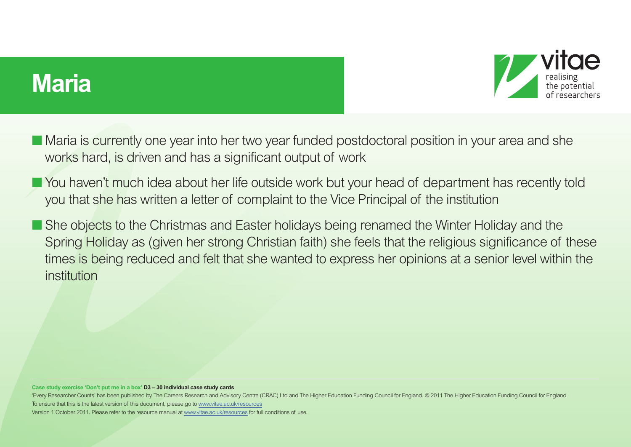### **Maria**



- Maria is currently one year into her two year funded postdoctoral position in your area and she works hard, is driven and has a significant output of work
- You haven't much idea about her life outside work but your head of department has recently told you that she has written a letter of complaint to the Vice Principal of the institution
- She objects to the Christmas and Easter holidays being renamed the Winter Holiday and the Spring Holiday as (given her strong Christian faith) she feels that the religious significance of these times is being reduced and felt that she wanted to express her opinions at a senior level within the institution

#### **Case study exercise 'Don't put me in a box' D3 – 30 individual case study cards**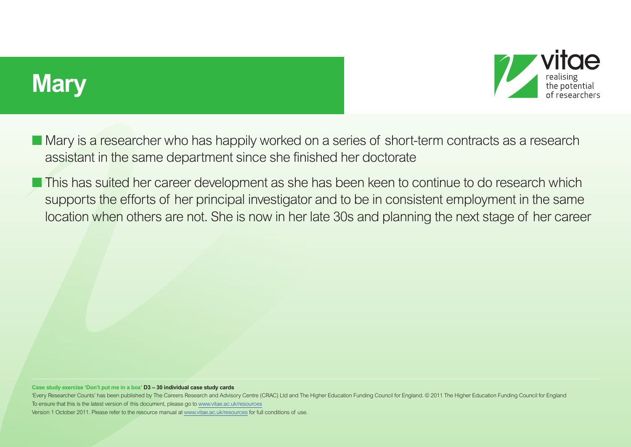



- Mary is a researcher who has happily worked on a series of short-term contracts as a research assistant in the same department since she finished her doctorate
- This has suited her career development as she has been keen to continue to do research which supports the efforts of her principal investigator and to be in consistent employment in the same location when others are not. She is now in her late 30s and planning the next stage of her career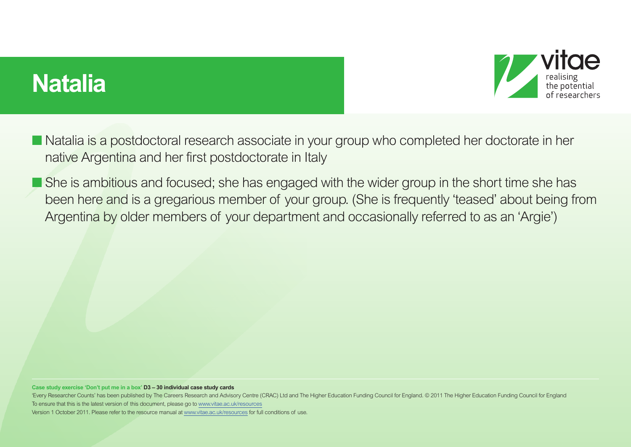# **Natalia**



- Natalia is a postdoctoral research associate in your group who completed her doctorate in her native Argentina and her first postdoctorate in Italy
- She is ambitious and focused; she has engaged with the wider group in the short time she has been here and is a gregarious member of your group. (She is frequently 'teased' about being from Argentina by older members of your department and occasionally referred to as an 'Argie')

#### **Case study exercise 'Don't put me in a box' D3 – 30 individual case study cards**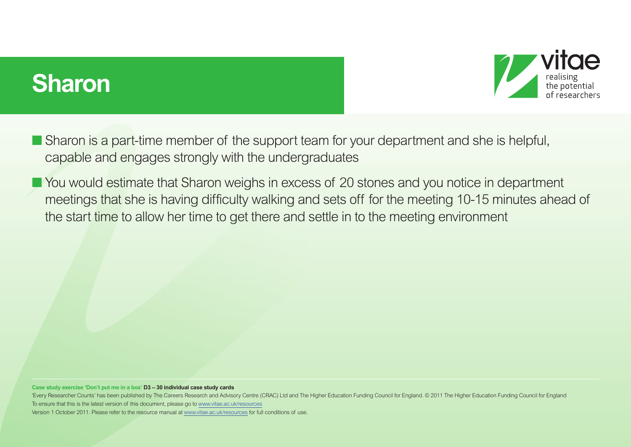## **Sharon**



- Sharon is a part-time member of the support team for your department and she is helpful, capable and engages strongly with the undergraduates
- You would estimate that Sharon weighs in excess of 20 stones and you notice in department meetings that she is having difficulty walking and sets off for the meeting 10-15 minutes ahead of the start time to allow her time to get there and settle in to the meeting environment

#### **Case study exercise 'Don't put me in a box' D3 – 30 individual case study cards**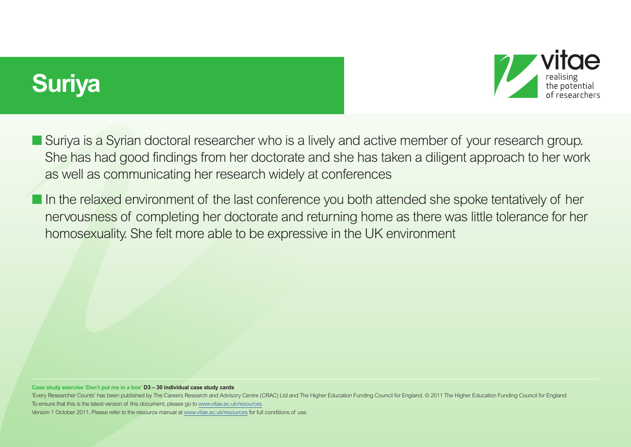# **Suriya**



- Suriya is a Syrian doctoral researcher who is a lively and active member of your research group. She has had good findings from her doctorate and she has taken a diligent approach to her work as well as communicating her research widely at conferences
- **If a** In the relaxed environment of the last conference you both attended she spoke tentatively of her nervousness of completing her doctorate and returning home as there was little tolerance for her homosexuality. She felt more able to be expressive in the UK environment

#### **Case study exercise 'Don't put me in a box' D3 – 30 individual case study cards**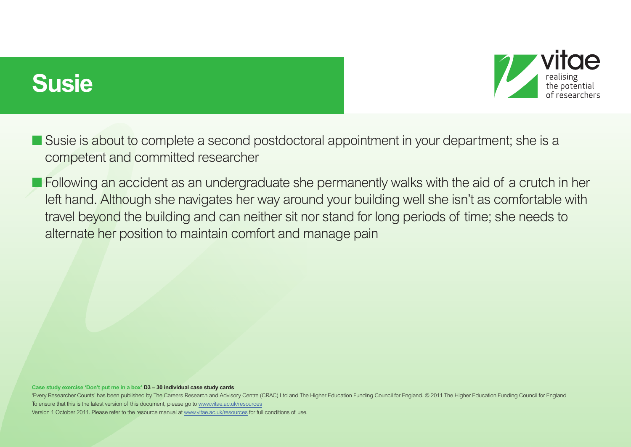## **Susie**



- Susie is about to complete a second postdoctoral appointment in your department; she is a competent and committed researcher
- Following an accident as an undergraduate she permanently walks with the aid of a crutch in her left hand. Although she navigates her way around your building well she isn't as comfortable with travel beyond the building and can neither sit nor stand for long periods of time; she needs to alternate her position to maintain comfort and manage pain

#### **Case study exercise 'Don't put me in a box' D3 – 30 individual case study cards**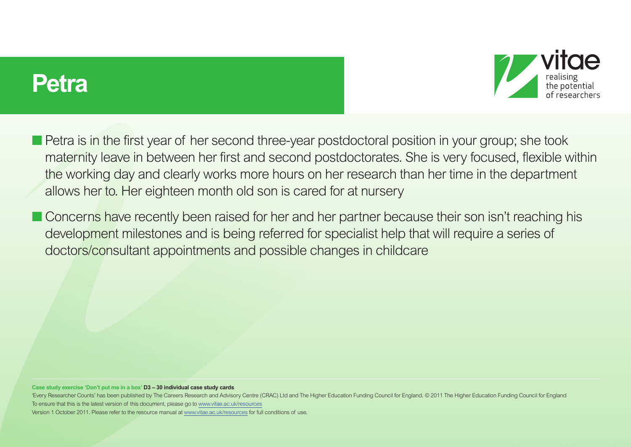### **Petra**



- Petra is in the first year of her second three-year postdoctoral position in your group; she took maternity leave in between her first and second postdoctorates. She is very focused, flexible within the working day and clearly works more hours on her research than her time in the department allows her to. Her eighteen month old son is cared for at nursery
- Concerns have recently been raised for her and her partner because their son isn't reaching his development milestones and is being referred for specialist help that will require a series of doctors/consultant appointments and possible changes in childcare

#### **Case study exercise 'Don't put me in a box' D3 – 30 individual case study cards**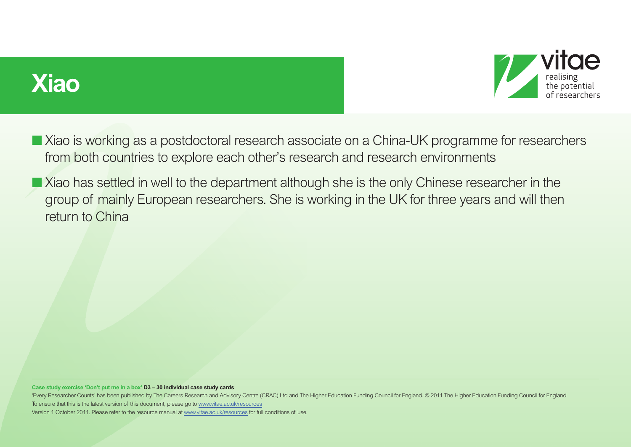



- Xiao is working as a postdoctoral research associate on a China-UK programme for researchers from both countries to explore each other's research and research environments
- Xiao has settled in well to the department although she is the only Chinese researcher in the group of mainly European researchers. She is working in the UK for three years and will then return to China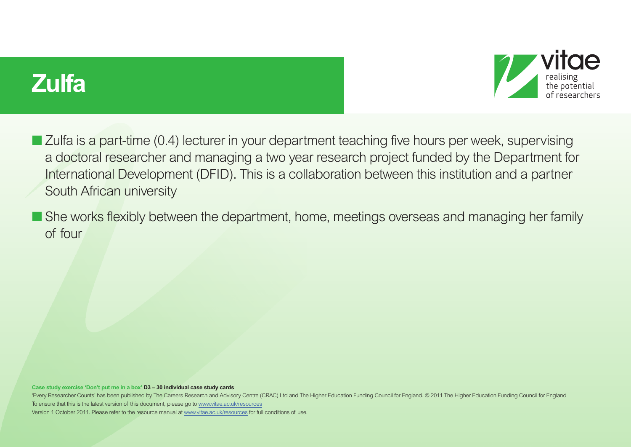



- Zulfa is a part-time (0.4) lecturer in your department teaching five hours per week, supervising a doctoral researcher and managing a two year research project funded by the Department for International Development (DFID). This is a collaboration between this institution and a partner South African university
- She works flexibly between the department, home, meetings overseas and managing her family of four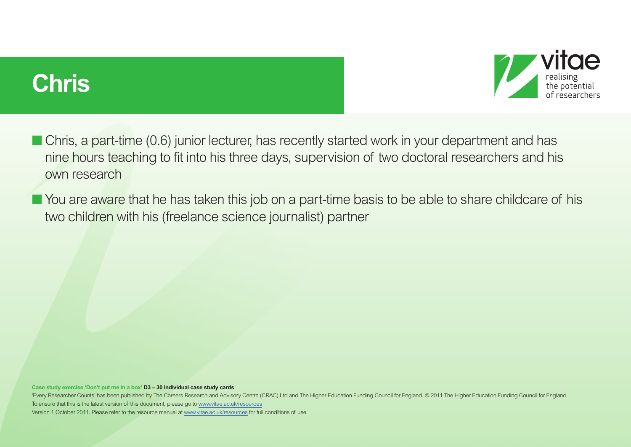## **Chris**



■ Chris, a part-time (0.6) junior lecturer, has recently started work in your department and has nine hours teaching to fit into his three days, supervision of two doctoral researchers and his own research

■ You are aware that he has taken this job on a part-time basis to be able to share childcare of his two children with his (freelance science journalist) partner

**Case study exercise 'Don't put me in a box' D3 – 30 individual case study cards**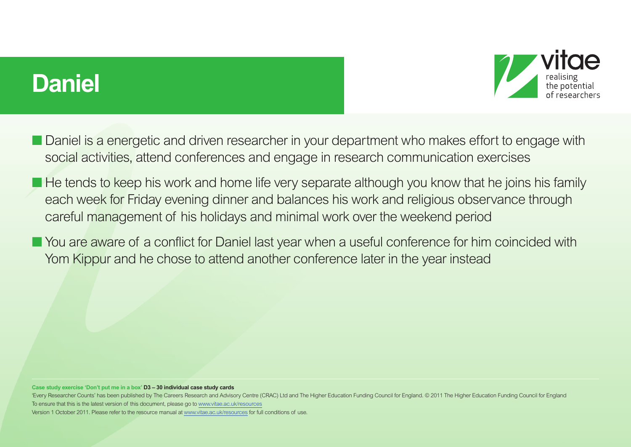### **Daniel**



- Daniel is a energetic and driven researcher in your department who makes effort to engage with social activities, attend conferences and engage in research communication exercises
- He tends to keep his work and home life very separate although you know that he joins his family each week for Friday evening dinner and balances his work and religious observance through careful management of his holidays and minimal work over the weekend period
- You are aware of a conflict for Daniel last year when a useful conference for him coincided with Yom Kippur and he chose to attend another conference later in the year instead

#### **Case study exercise 'Don't put me in a box' D3 – 30 individual case study cards**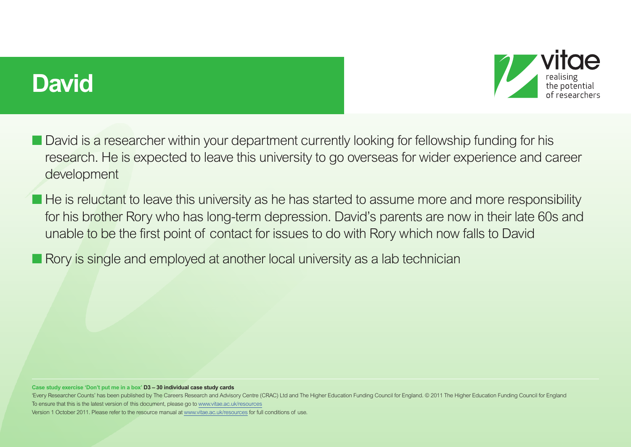### **David**



- David is a researcher within your department currently looking for fellowship funding for his research. He is expected to leave this university to go overseas for wider experience and career development
- He is reluctant to leave this university as he has started to assume more and more responsibility for his brother Rory who has long-term depression. David's parents are now in their late 60s and unable to be the first point of contact for issues to do with Rory which now falls to David
- Rory is single and employed at another local university as a lab technician

#### **Case study exercise 'Don't put me in a box' D3 – 30 individual case study cards**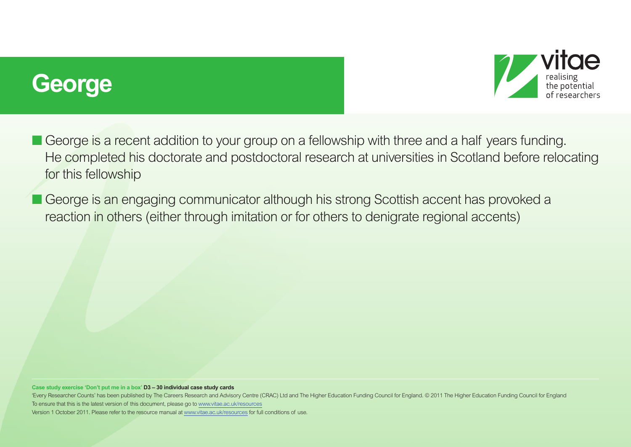## **George**



■ George is a recent addition to your group on a fellowship with three and a half years funding. He completed his doctorate and postdoctoral research at universities in Scotland before relocating for this fellowship

■ George is an engaging communicator although his strong Scottish accent has provoked a reaction in others (either through imitation or for others to denigrate regional accents)

**Case study exercise 'Don't put me in a box' D3 – 30 individual case study cards**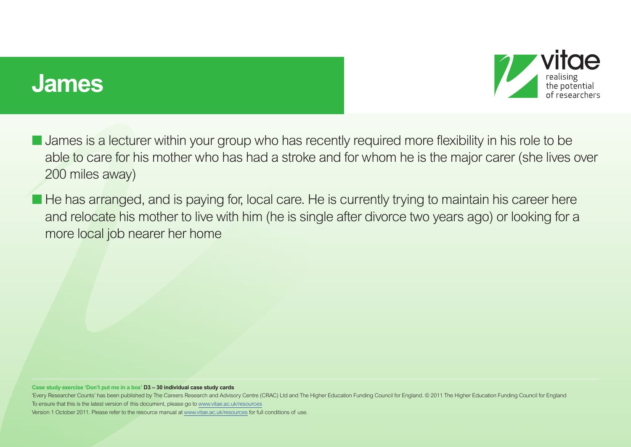### **James**



- **U** James is a lecturer within your group who has recently required more flexibility in his role to be able to care for his mother who has had a stroke and for whom he is the major carer (she lives over 200 miles away)
- He has arranged, and is paying for, local care. He is currently trying to maintain his career here and relocate his mother to live with him (he is single after divorce two years ago) or looking for a more local job nearer her home

**Case study exercise 'Don't put me in a box' D3 – 30 individual case study cards**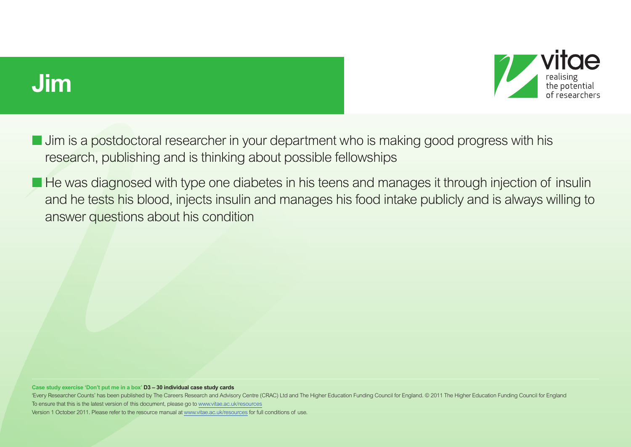



- Jim is a postdoctoral researcher in your department who is making good progress with his research, publishing and is thinking about possible fellowships
- He was diagnosed with type one diabetes in his teens and manages it through injection of insulin and he tests his blood, injects insulin and manages his food intake publicly and is always willing to answer questions about his condition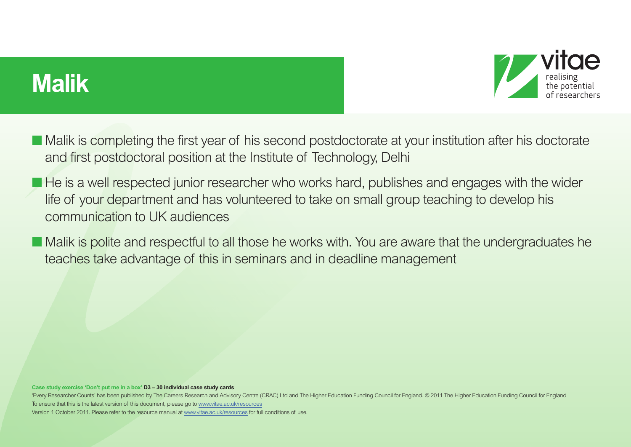# **Malik**



- Malik is completing the first year of his second postdoctorate at your institution after his doctorate and first postdoctoral position at the Institute of Technology, Delhi
- He is a well respected junior researcher who works hard, publishes and engages with the wider life of your department and has volunteered to take on small group teaching to develop his communication to UK audiences
- Malik is polite and respectful to all those he works with. You are aware that the undergraduates he teaches take advantage of this in seminars and in deadline management

#### **Case study exercise 'Don't put me in a box' D3 – 30 individual case study cards**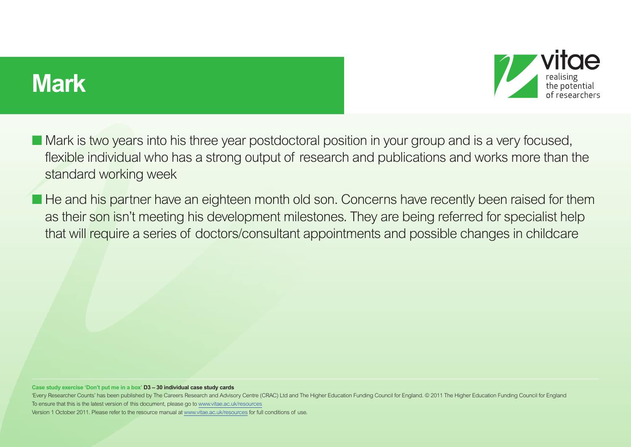### **Mark**



■ Mark is two years into his three year postdoctoral position in your group and is a very focused, flexible individual who has a strong output of research and publications and works more than the standard working week

■ He and his partner have an eighteen month old son. Concerns have recently been raised for them as their son isn't meeting his development milestones. They are being referred for specialist help that will require a series of doctors/consultant appointments and possible changes in childcare

**Case study exercise 'Don't put me in a box' D3 – 30 individual case study cards**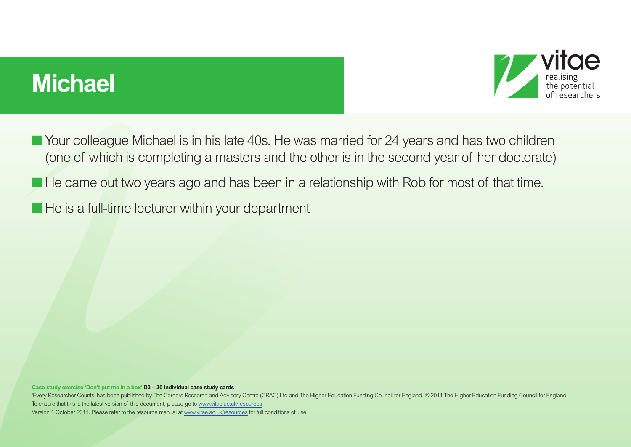# **Michael**



- Your colleague Michael is in his late 40s. He was married for 24 years and has two children (one of which is completing a masters and the other is in the second year of her doctorate)
- He came out two years ago and has been in a relationship with Rob for most of that time.
- He is a full-time lecturer within your department

**Case study exercise 'Don't put me in a box' D3 – 30 individual case study cards**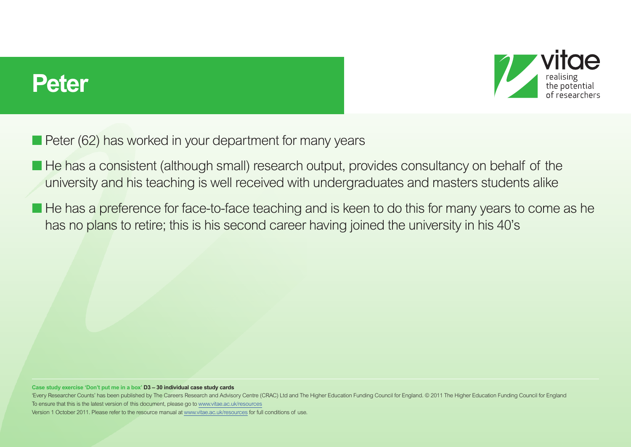



- Peter (62) has worked in your department for many years
- He has a consistent (although small) research output, provides consultancy on behalf of the university and his teaching is well received with undergraduates and masters students alike
- He has a preference for face-to-face teaching and is keen to do this for many years to come as he has no plans to retire; this is his second career having joined the university in his 40's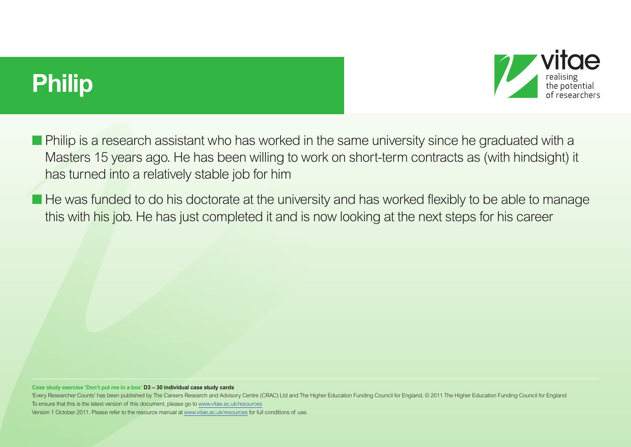# **Philip**



**• Philip is a research assistant who has worked in the same university since he graduated with a** Masters 15 years ago. He has been willing to work on short-term contracts as (with hindsight) it has turned into a relatively stable job for him

■ He was funded to do his doctorate at the university and has worked flexibly to be able to manage this with his job. He has just completed it and is now looking at the next steps for his career

**Case study exercise 'Don't put me in a box' D3 – 30 individual case study cards**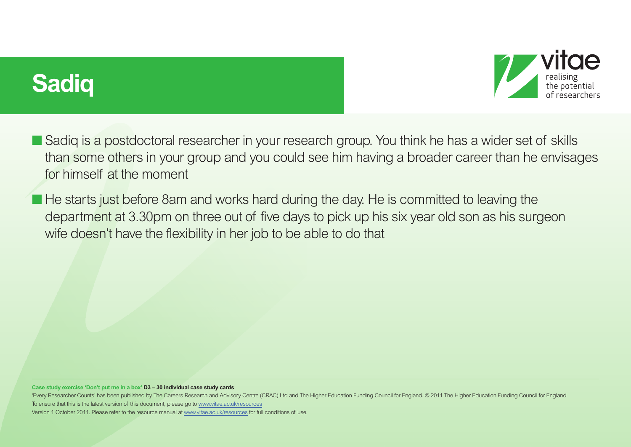



- Sadiq is a postdoctoral researcher in your research group. You think he has a wider set of skills than some others in your group and you could see him having a broader career than he envisages for himself at the moment
- He starts just before 8am and works hard during the day. He is committed to leaving the department at 3.30pm on three out of five days to pick up his six year old son as his surgeon wife doesn't have the flexibility in her job to be able to do that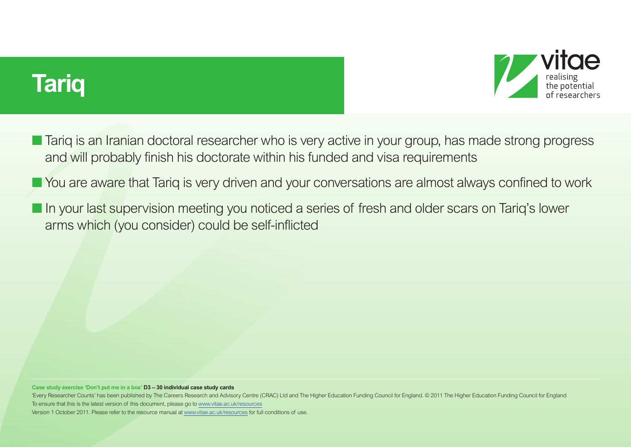



- Tariq is an Iranian doctoral researcher who is very active in your group, has made strong progress and will probably finish his doctorate within his funded and visa requirements
- You are aware that Tariq is very driven and your conversations are almost always confined to work
- In your last supervision meeting you noticed a series of fresh and older scars on Tariq's lower arms which (you consider) could be self-inflicted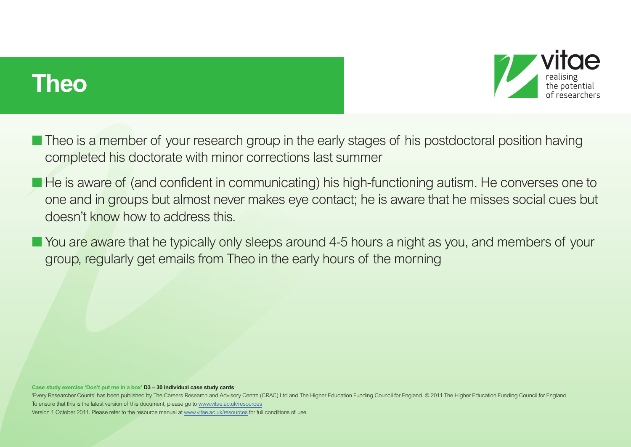## **Theo**



- Theo is a member of your research group in the early stages of his postdoctoral position having completed his doctorate with minor corrections last summer
- He is aware of (and confident in communicating) his high-functioning autism. He converses one to one and in groups but almost never makes eye contact; he is aware that he misses social cues but doesn't know how to address this.
- You are aware that he typically only sleeps around 4-5 hours a night as you, and members of your group, regularly get emails from Theo in the early hours of the morning

#### **Case study exercise 'Don't put me in a box' D3 – 30 individual case study cards**